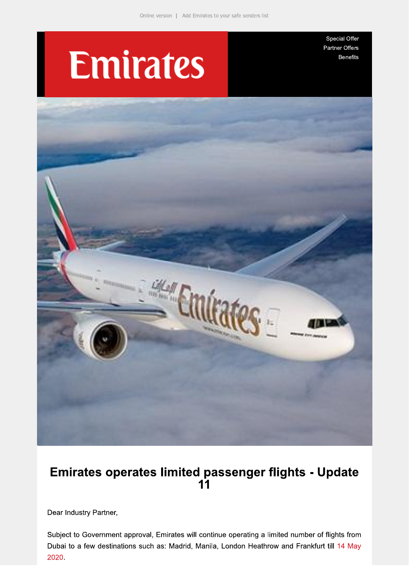# **Emirates**

Special Offer Partner Offers **Benefits** 



# Emirates operates limited passenger flights - Update  $11$

Dear Industry Partner,

Subject to Government approval, Emirates will continue operating a limited number of flights from Dubai to a few destinations such as: Madrid, Manila, London Heathrow and Frankfurt till 14 May 2020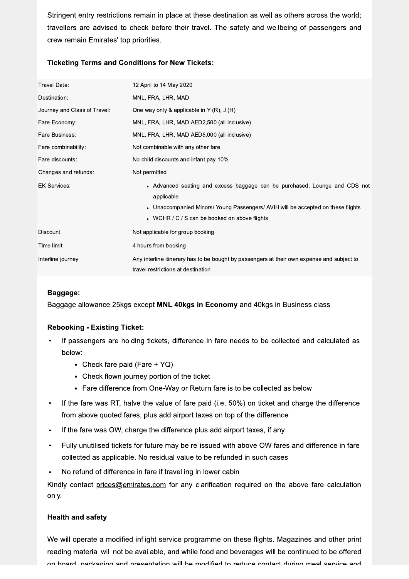Stringent entry restrictions remain in place at these destination as well as others across the world; travellers are advised to check before their travel. The safety and wellbeing of passengers and crew remain Emirates' top priorities.

## **Ticketing Terms and Conditions for New Tickets:**

| Travel Date:                 | 12 April to 14 May 2020                                                                                                                                                                                                                           |
|------------------------------|---------------------------------------------------------------------------------------------------------------------------------------------------------------------------------------------------------------------------------------------------|
| Destination:                 | MNL, FRA, LHR, MAD                                                                                                                                                                                                                                |
| Journey and Class of Travel: | One way only & applicable in $Y(R)$ , $J(H)$                                                                                                                                                                                                      |
| Fare Economy:                | MNL, FRA, LHR, MAD AED2,500 (all inclusive)                                                                                                                                                                                                       |
| Fare Business:               | MNL, FRA, LHR, MAD AED5,000 (all inclusive)                                                                                                                                                                                                       |
| Fare combinability:          | Not combinable with any other fare                                                                                                                                                                                                                |
| Fare discounts:              | No child discounts and infant pay 10%                                                                                                                                                                                                             |
| Changes and refunds:         | Not permitted                                                                                                                                                                                                                                     |
| <b>EK Services:</b>          | Advanced seating and excess baggage can be purchased. Lounge and CDS not<br>$\bullet$<br>applicable<br>Unaccompanied Minors/ Young Passengers/ AVIH will be accepted on these flights<br>$\bullet$<br>WCHR / C / S can be booked on above flights |
| <b>Discount</b>              | Not applicable for group booking                                                                                                                                                                                                                  |
| Time limit                   | 4 hours from booking                                                                                                                                                                                                                              |
| Interline journey            | Any interline itinerary has to be bought by passengers at their own expense and subject to<br>travel restrictions at destination                                                                                                                  |

## Baggage:

Baggage allowance 25kgs except MNL 40kgs in Economy and 40kgs in Business class

#### **Rebooking - Existing Ticket:**

- If passengers are holding tickets, difference in fare needs to be collected and calculated as below:
	- Check fare paid (Fare +  $YQ$ )
	- Check flown journey portion of the ticket
	- Fare difference from One-Way or Return fare is to be collected as below
- If the fare was RT, halve the value of fare paid (i.e. 50%) on ticket and charge the difference from above quoted fares, plus add airport taxes on top of the difference
- If the fare was OW, charge the difference plus add airport taxes, if any
- Fully unutilised tickets for future may be re-issued with above OW fares and difference in fare  $\bullet$ collected as applicable. No residual value to be refunded in such cases
- No refund of difference in fare if travelling in lower cabin

Kindly contact prices@emirates.com for any clarification required on the above fare calculation only.

#### **Health and safety**

We will operate a modified inflight service programme on these flights. Magazines and other print reading material will not be available, and while food and beverages will be continued to be offered on board nackaging and presentation will be modified to reduce contact during meal service and